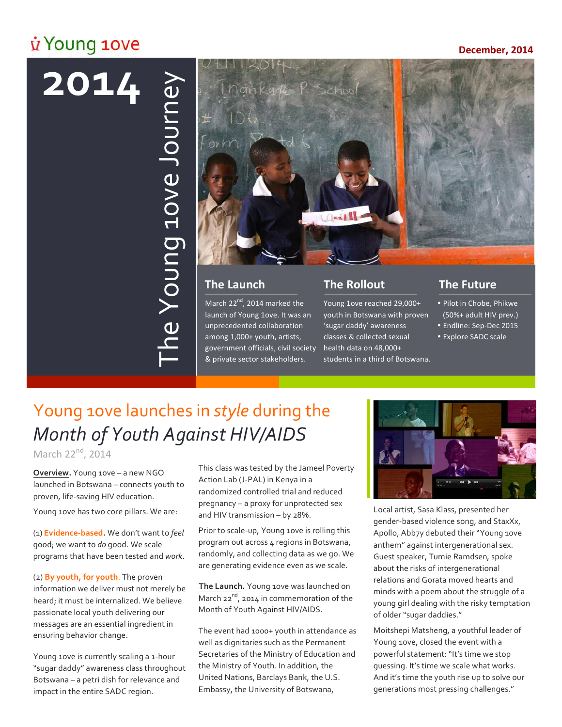# *i* Young 10ve

### **December, 2014**

# **!!!!2014**



March  $22^{nd}$ , 2014 marked the launch of Young 1ove. It was an unprecedented collaboration among 1,000+ youth, artists, government officials, civil society health data on 48,000+ & private sector stakeholders.

## **The Rollout**

Young 1ove reached 29,000+ youth in Botswana with proven 'sugar daddy' awareness classes & collected sexual students in a third of Botswana.

# **The Future**

- . Pilot in Chobe, Phikwe (50%+ adult HIV prev.)
- · Endline: Sep-Dec 2015
- Explore SADC scale

# Young 1ove launches in *style* during the *Month\*of\*Youth\*Against\*HIV/AIDS*

March 22<sup>nd</sup>, 2014

**Overview.** Young 1ove – a new NGO launched in Botswana – connects youth to proven, life-saving HIV education.

Young 1ove has two core pillars. We are:

(1) **Evidence-based**. We don't want to *feel* good; we want to *do* good. We scale programs that have been tested and *work*.

(2) **By youth, for youth**. The proven information we deliver must not merely be heard; it must be internalized. We believe passionate local youth delivering our messages are an essential ingredient in ensuring behavior change.

Young 1ove is currently scaling a 1-hour "sugar daddy" awareness class throughout Botswana – a petri dish for relevance and impact in the entire SADC region.

This class was tested by the Jameel Poverty Action Lab (J-PAL) in Kenya in a randomized controlled trial and reduced pregnancy – a proxy for unprotected sex and HIV transmission – by 28%.

Prior to scale-up, Young 1ove is rolling this program out across 4 regions in Botswana, randomly, and collecting data as we go. We are generating evidence even as we scale.

The Launch. Young 10ve was launched on March  $22^{nd}$ , 2014 in commemoration of the Month of Youth Against HIV/AIDS.

The event had 1000+ youth in attendance as well as dignitaries such as the Permanent Secretaries of the Ministry of Education and the Ministry of Youth. In addition, the United Nations, Barclays Bank, the U.S. Embassy, the University of Botswana,



Local artist, Sasa Klass, presented her gender-based violence song, and StaxXx, Apollo, Abb7y debuted their "Young 1ove anthem" against intergenerational sex. Guest speaker, Tumie Ramdsen, spoke about the risks of intergenerational relations and Gorata moved hearts and minds with a poem about the struggle of a young girl dealing with the risky temptation of older "sugar daddies."

Moitshepi Matsheng, a youthful leader of Young 1ove, closed the event with a powerful statement: "It's time we stop guessing. It's time we scale what works. And it's time the youth rise up to solve our generations most pressing challenges."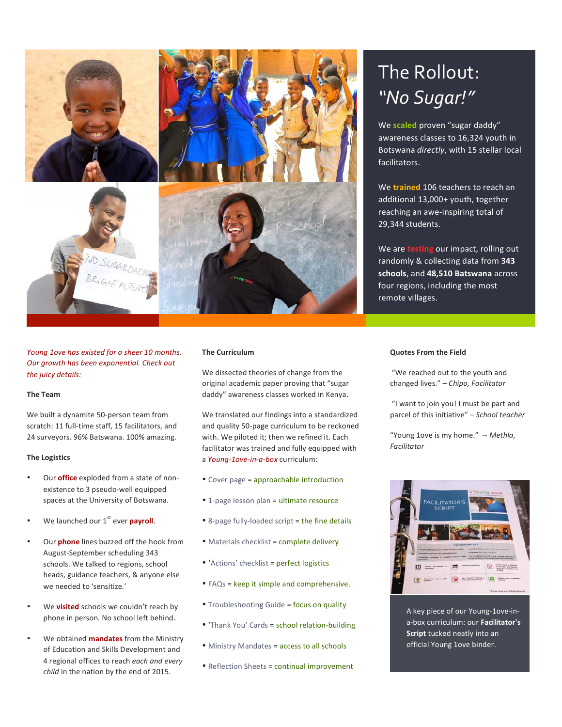

*Young 1ove has existed for a sheer 10 months.* **Our growth has been exponential. Check out** the juicy details:

### **The\$Team**

We built a dynamite 50-person team from scratch: 11 full-time staff, 15 facilitators, and 24 surveyors. 96% Batswana. 100% amazing.

### **The Logistics**

- Our **office** exploded from a state of nonexistence to 3 pseudo-well equipped spaces at the University of Botswana.
- We launched our 1<sup>st</sup> ever **payroll**.
- Our **phone** lines buzzed off the hook from August-September scheduling 343 schools. We talked to regions, school heads, guidance teachers, & anyone else we needed to 'sensitize.'
- We **visited** schools we couldn't reach by phone in person. No school left behind.
- We obtained **mandates** from the Ministry of Education and Skills Development and 4 regional offices to reach each and every *child* in the nation by the end of 2015.

### **The Curriculum**

We dissected theories of change from the original academic paper proving that "sugar daddy" awareness classes worked in Kenya.

We translated our findings into a standardized and quality 50-page curriculum to be reckoned with. We piloted it; then we refined it. Each facilitator was trained and fully equipped with a Young-1ove-in-a-box curriculum:

- Cover page = approachable introduction
- 1-page lesson plan = ultimate resource
- 8-page fully-loaded script = the fine details
- . Materials checklist = complete delivery
- 'Actions' checklist = perfect logistics
- $\bullet$  FAQs = keep it simple and comprehensive.
- . Troubleshooting Guide = focus on quality
- . 'Thank You' Cards = school relation-building
- . Ministry Mandates = access to all schools
- . Reflection Sheets = continual improvement

# The Rollout: *"No\*Sugar!"*

We **scaled** proven "sugar daddy" awareness classes to 16,324 youth in Botswana *directly*, with 15 stellar local facilitators.

We **trained** 106 teachers to reach an additional 13,000+ youth, together reaching an awe-inspiring total of 29,344 students.

We are **testing** our impact, rolling out randomly!&!collecting!data!from!**343\$** schools, and 48,510 Batswana across four regions, including the most remote villages.

### **Quotes From the Field**

"We reached out to the youth and changed!lives."!*– Chipo, Facilitator*

"I want to join you! I must be part and parcel of this initiative" - School teacher

"Young 1ove is my home." -- Methla, *Facilitator&&&&&&&&&&&&&&&&&&&&&&&&&&&&&&&&&*



A key piece of our Young-1ove-ina-box curriculum: our **Facilitator's Script** tucked neatly into an official Young 1ove binder.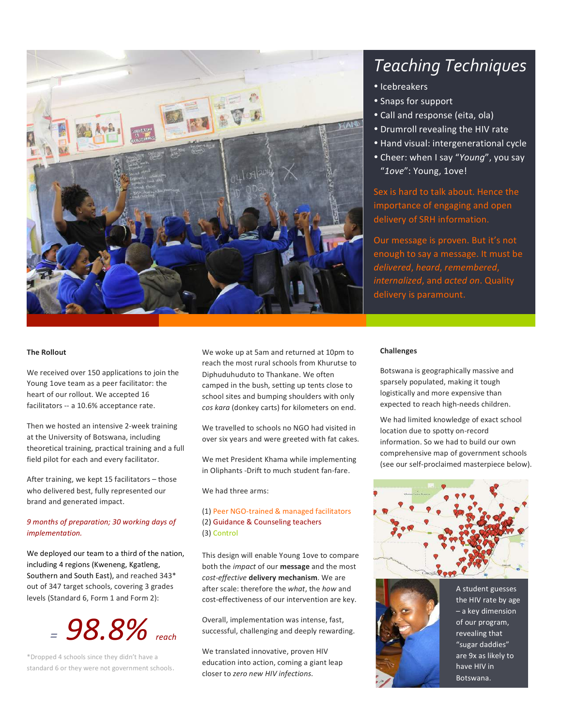

# **Teaching Techniques**

- · Icebreakers
- Snaps for support
- Call and response (eita, ola)
- Drumroll revealing the HIV rate
- Hand visual: intergenerational cycle
- Cheer: when I say "Young", you say "1ove": Young, 1ove!

Sex is hard to talk about. Hence the importance of engaging and open delivery of SRH information.

Our message is proven. But it's not enough to say a message. It must be delivered, heard, remembered, internalized, and acted on. Quality delivery is paramount.

### **The Rollout**

We received over 150 applications to join the Young 1ove team as a peer facilitator: the heart of our rollout. We accepted 16 facilitators -- a 10.6% acceptance rate.

Then we hosted an intensive 2-week training at the University of Botswana, including theoretical training, practical training and a full field pilot for each and every facilitator.

After training, we kept 15 facilitators - those who delivered best, fully represented our brand and generated impact.

### 9 months of preparation; 30 working days of implementation.

We deployed our team to a third of the nation, including 4 regions (Kweneng, Kgatleng, Southern and South East), and reached 343\* out of 347 target schools, covering 3 grades levels (Standard 6, Form 1 and Form 2):

# $= 98.8\%$  reach

\*Dropped 4 schools since they didn't have a standard 6 or they were not government schools.

We woke up at 5am and returned at 10pm to reach the most rural schools from Khurutse to Diphuduhuduto to Thankane. We often camped in the bush, setting up tents close to school sites and bumping shoulders with only cos kara (donkey carts) for kilometers on end.

We travelled to schools no NGO had visited in over six years and were greeted with fat cakes.

We met President Khama while implementing in Oliphants - Drift to much student fan-fare.

We had three arms:

### (1) Peer NGO-trained & managed facilitators (2) Guidance & Counseling teachers (3) Control

This design will enable Young 1ove to compare both the *impact* of our **message** and the most cost-effective delivery mechanism. We are after scale: therefore the what, the how and cost-effectiveness of our intervention are key.

Overall, implementation was intense, fast, successful, challenging and deeply rewarding.

We translated innovative, proven HIV education into action, coming a giant leap closer to zero new HIV infections.

### **Challenges**

Botswana is geographically massive and sparsely populated, making it tough logistically and more expensive than expected to reach high-needs children.

We had limited knowledge of exact school location due to spotty on-record information. So we had to build our own comprehensive map of government schools (see our self-proclaimed masterpiece below).





A student guesses the HIV rate by age - a key dimension of our program, revealing that "sugar daddies" are 9x as likely to have HIV in Botswana.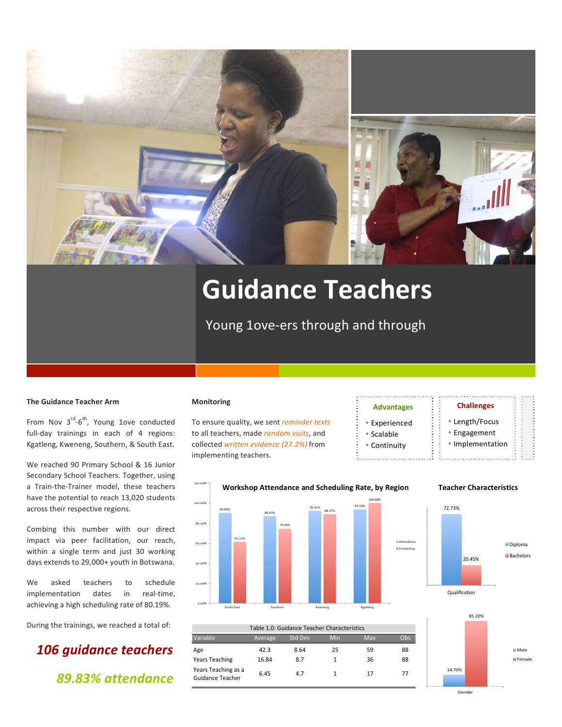

# **Guidance\$Teachers**

Young 1ove-ers through and through

### **The Guidance Teacher Arm**

From Nov  $3^{\text{rd}}-6^{\text{th}}$ , Young 1ove conducted full-day trainings in each of 4 regions: Kgatleng, Kweneng, Southern, & South East.

We reached 90 Primary School & 16 Junior Secondary School Teachers. Together, using a Train-the-Trainer model, these teachers have the potential to reach 13,020 students across their respective regions.

Combing this number with our direct impact via peer facilitation, our reach, within a single term and just 30 working days extends to 29,000+ youth in Botswana.

We asked teachers to schedule implementation dates in real-time, achieving a high scheduling rate of 80.19%.

During the trainings, we reached a total of:

# !!!*106 guidance teachers &&&&&&&&&&&&&&& 89.83%!attendance*

### **Monitoring**

To ensure quality, we sent *reminder texts* to all teachers, made *random visits*, and collected *written evidence* (27.2%) from implementing teachers.

### **\$\$\$\$\$\$\$\$\$ \$\$\$\$\$\$\$\$\$\$\$\$\$\$\$\$\$\$\$Advantages\$ \$\$**

- Experienced
- ! Scalable
- Continuity

**Attendance** Scheduling\$

 $\blacksquare$ 

# • Implementation

 $\mathsf{Challenges}\$ • Length/Focus ! Engagement

**\$\$\$\$\$\$\$\$\$**



### $\overline{a}$ 30.00%' 40.00%' 50.00%'  $\overline{\phantom{0}}$ 70.00%' 80.00%' Variable Average Std.Dev Min Max Obs Age 6 42.3 8.64 25 59 88 Years Teaching 16.84 8.7 1 36 88 Years Teaching as a rears reaching as a  $6.45$  and  $4.7$  1 17 17 77<br>Guidance Teacher Table 1.0: Guidance Teacher Characteristics

# **Teacher\$Characteristics**



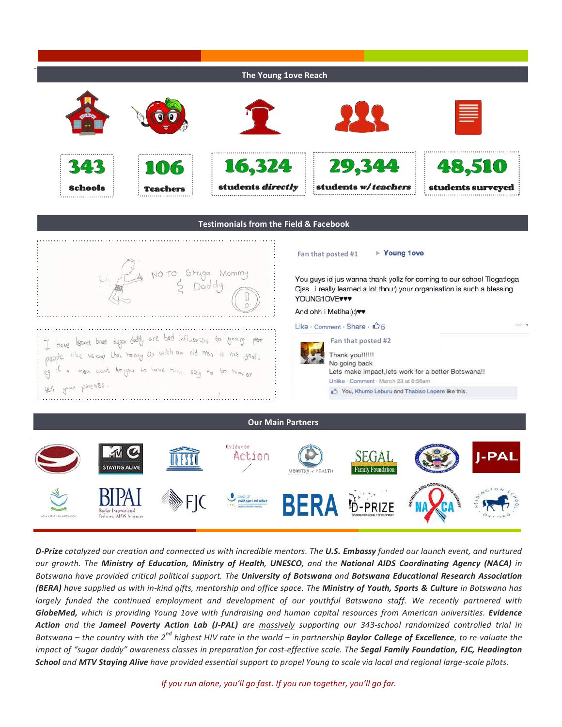

**D-Prize** catalyzed our creation and connected us with incredible mentors. The **U.S. Embassy** funded our launch event, and nurtured *our& growth.& The& Ministry! of! Education,! Ministry! of! Health,& UNESCO,& and& the& National! AIDS! Coordinating! Agency! (NACA) in& Botswana&have&provided&critical political&support.&The&University!of!Botswana!and&Botswana!Educational! Research!Association! (BERA)* have supplied us with in-kind gifts, mentorship and office space. The Ministry of Youth, Sports & Culture in Botswana has largely funded the continued employment and development of our youthful Batswana staff. We recently partnered with **GlobeMed,** which is providing Young 1ove with fundraising and human capital resources from American universities. Evidence Action and the Jameel Poverty Action Lab (J-PAL) are massively supporting our 343-school randomized controlled trial in *Botswana* – *the country with the 2<sup>nd</sup> highest HIV rate in the world – in partnership Baylor College of Excellence, to re-valuate the* impact of "sugar daddy" awareness classes in preparation for cost-effective scale. The Segal Family Foundation, FJC, Headington **School** and **MTV Staying Alive** have provided essential support to propel Young to scale via local and regional large-scale pilots.

*If you run alone, you'll go fast. If you run together, you'll go far.*